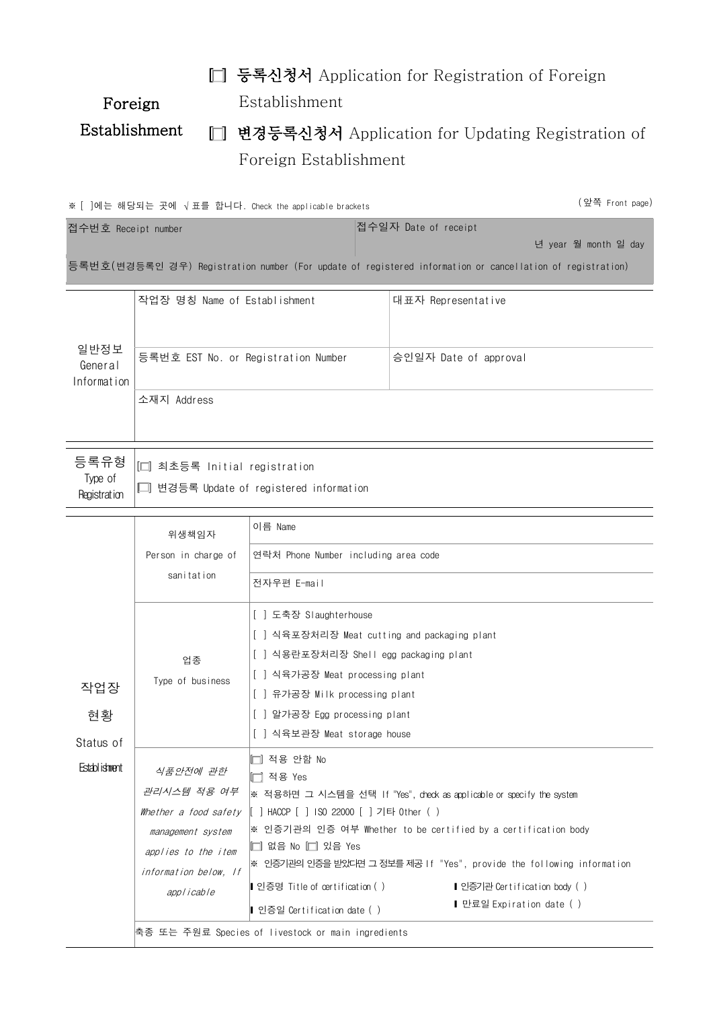## Foreign Establishment [ ]등록신청서 Application for Registration of Foreign Establishment [ ]변경등록신청서 Application for Updating Registration of Foreign Establishment

| ※ [ ]에는 해당되는 곳에 √표를 합니다. Check the applicable brackets                                                    | (앞쪽 Front page)                                                                                                                     |                                                                                                                                                                                                                                                                                                                                                                                                                                                        |                      |                                             |  |  |
|-----------------------------------------------------------------------------------------------------------|-------------------------------------------------------------------------------------------------------------------------------------|--------------------------------------------------------------------------------------------------------------------------------------------------------------------------------------------------------------------------------------------------------------------------------------------------------------------------------------------------------------------------------------------------------------------------------------------------------|----------------------|---------------------------------------------|--|--|
| 접수번호 Receipt number                                                                                       |                                                                                                                                     |                                                                                                                                                                                                                                                                                                                                                                                                                                                        | 접수일자 Date of receipt | 년 year 월 month 일 day                        |  |  |
| 등록번호(변경등록인 경우) Registration number (For update of registered information or cancellation of registration) |                                                                                                                                     |                                                                                                                                                                                                                                                                                                                                                                                                                                                        |                      |                                             |  |  |
| 일반정보<br>General<br>Information                                                                            | 작업장 명칭 Name of Establishment<br>등록번호 EST No. or Registration Number<br>소재지 Address                                                  |                                                                                                                                                                                                                                                                                                                                                                                                                                                        |                      | 대표자 Representative<br>승인일자 Date of approval |  |  |
| 등록유형<br>Type of<br>Registration                                                                           | □ 최초등록 Initial registration<br>□ 변경등록 Update of registered information                                                              |                                                                                                                                                                                                                                                                                                                                                                                                                                                        |                      |                                             |  |  |
| 작업장<br>현황<br>Status of<br><b>Establishment</b>                                                            | 위생책임자<br>Person in charge of<br>sanitation                                                                                          | 이름 Name<br>연락처 Phone Number including area code<br>전자우편 E-mail                                                                                                                                                                                                                                                                                                                                                                                         |                      |                                             |  |  |
|                                                                                                           | 업종<br>Type of business                                                                                                              | [ ] 도축장 Slaughterhouse<br>[ ] 식육포장처리장 Meat cutting and packaging plant<br>[ ] 식용란포장처리장 Shell egg packaging plant<br>[ ] 식육가공장 Meat processing plant<br>[ ] 유가공장 Milk processing plant<br>[ ] 알가공장 Egg processing plant<br>[ ] 식육보관장 Meat storage house                                                                                                                                                                                                 |                      |                                             |  |  |
|                                                                                                           | 식품안전에 관한<br>관리시스템 적용 여부<br>Whether a food safety<br>management system<br>applies to the item<br>information below. If<br>applicable | □ 적용 안함 No<br>□ 적용 Yes<br>※ 적용하면 그 시스템을 선택 If "Yes", check as applicable or specify the system<br>[ ] HACCP [ ] ISO 22000 [ ] 기타 Other ( )<br>※ 인증기관의 인증 여부 Whether to be certified by a certification body<br>$\square$ 없음 No $\square$ 있음 Yes<br>※ 인증기관의 인증을 받았다면 그 정보를 제공 If "Yes", provide the following information<br>∥인증명 Title of œrtification ( )<br>▌인증기관 Certification body ( )<br>▌만료일 Expiration date ( )<br>∥ 인증일 Certification date ( ) |                      |                                             |  |  |
|                                                                                                           | 축종 또는 주원료 Species of livestock or main ingredients                                                                                  |                                                                                                                                                                                                                                                                                                                                                                                                                                                        |                      |                                             |  |  |